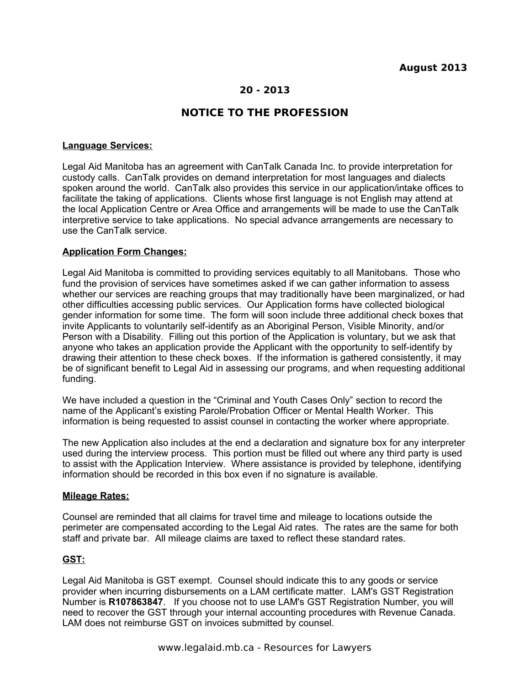# **20 - 2013**

# **NOTICE TO THE PROFESSION**

### **Language Services:**

Legal Aid Manitoba has an agreement with CanTalk Canada Inc. to provide interpretation for custody calls. CanTalk provides on demand interpretation for most languages and dialects spoken around the world. CanTalk also provides this service in our application/intake offices to facilitate the taking of applications. Clients whose first language is not English may attend at the local Application Centre or Area Office and arrangements will be made to use the CanTalk interpretive service to take applications. No special advance arrangements are necessary to use the CanTalk service.

### **Application Form Changes:**

Legal Aid Manitoba is committed to providing services equitably to all Manitobans. Those who fund the provision of services have sometimes asked if we can gather information to assess whether our services are reaching groups that may traditionally have been marginalized, or had other difficulties accessing public services. Our Application forms have collected biological gender information for some time. The form will soon include three additional check boxes that invite Applicants to voluntarily self-identify as an Aboriginal Person, Visible Minority, and/or Person with a Disability. Filling out this portion of the Application is voluntary, but we ask that anyone who takes an application provide the Applicant with the opportunity to self-identify by drawing their attention to these check boxes. If the information is gathered consistently, it may be of significant benefit to Legal Aid in assessing our programs, and when requesting additional funding.

We have included a question in the "Criminal and Youth Cases Only" section to record the name of the Applicant's existing Parole/Probation Officer or Mental Health Worker. This information is being requested to assist counsel in contacting the worker where appropriate.

The new Application also includes at the end a declaration and signature box for any interpreter used during the interview process. This portion must be filled out where any third party is used to assist with the Application Interview. Where assistance is provided by telephone, identifying information should be recorded in this box even if no signature is available.

#### **Mileage Rates:**

Counsel are reminded that all claims for travel time and mileage to locations outside the perimeter are compensated according to the Legal Aid rates. The rates are the same for both staff and private bar. All mileage claims are taxed to reflect these standard rates.

### **GST:**

Legal Aid Manitoba is GST exempt. Counsel should indicate this to any goods or service provider when incurring disbursements on a LAM certificate matter. LAM's GST Registration Number is **R107863847**. If you choose not to use LAM's GST Registration Number, you will need to recover the GST through your internal accounting procedures with Revenue Canada. LAM does not reimburse GST on invoices submitted by counsel.